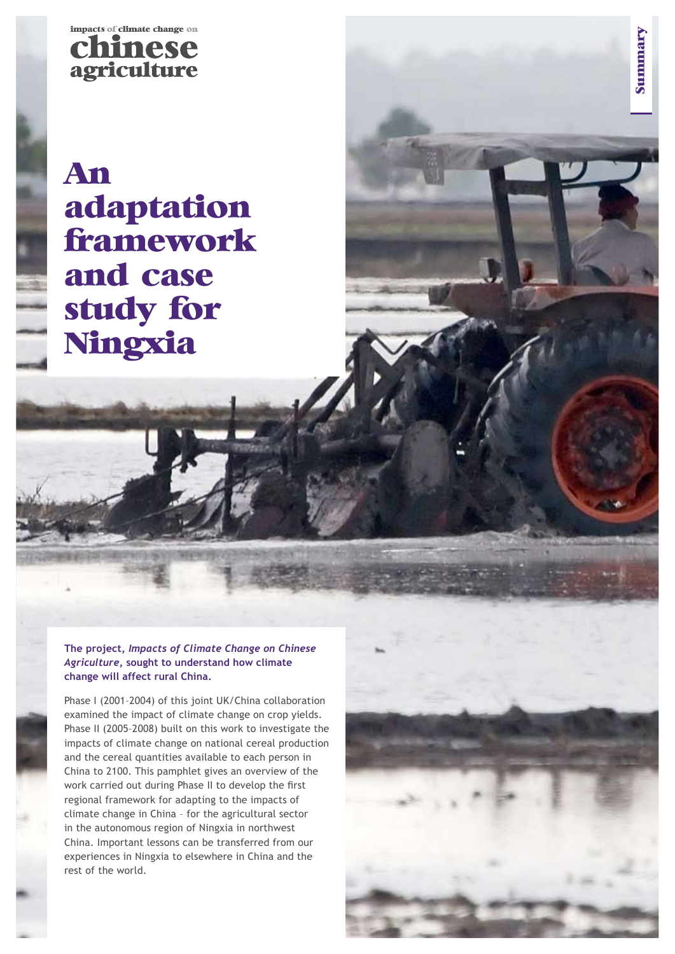

**An adaptation framework and case study for Ningxia**

**The project,** *Impacts of Climate Change on Chinese Agriculture***, sought to understand how climate change will affect rural China.** 

Phase I (2001–2004) of this joint UK/China collaboration examined the impact of climate change on crop yields. Phase II (2005–2008) built on this work to investigate the impacts of climate change on national cereal production and the cereal quantities available to each person in China to 2100. This pamphlet gives an overview of the work carried out during Phase II to develop the first regional framework for adapting to the impacts of climate change in China – for the agricultural sector in the autonomous region of Ningxia in northwest China. Important lessons can be transferred from our experiences in Ningxia to elsewhere in China and the rest of the world.



**Summary**

Summary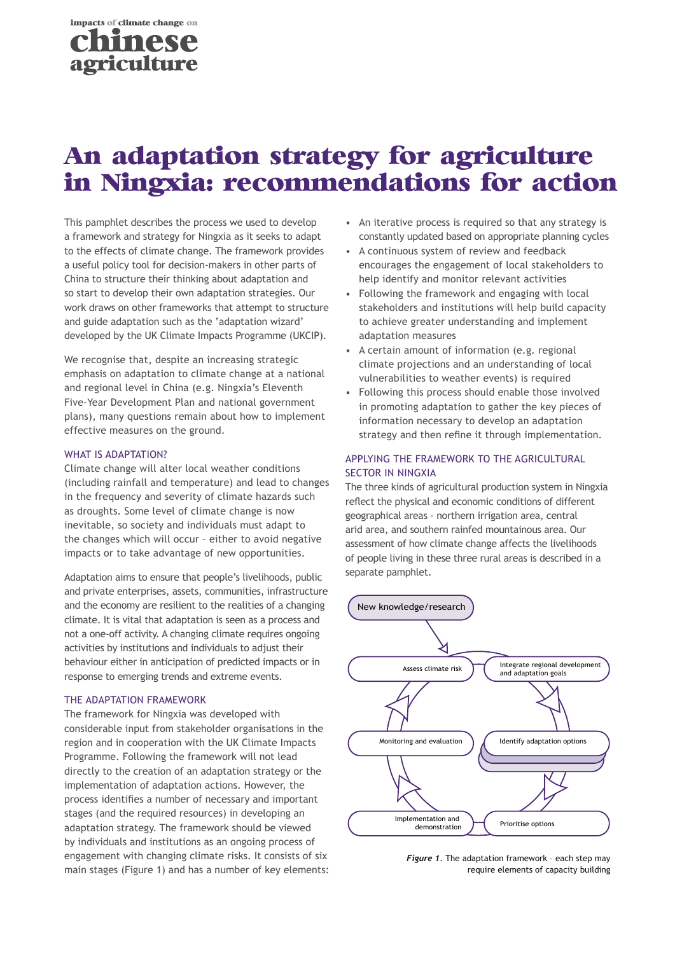

# **An adaptation strategy for agriculture in Ningxia:**:**: recommendations for action**

This pamphlet describes the process we used to develop a framework and strategy for Ningxia as it seeks to adapt to the effects of climate change. The framework provides a useful policy tool for decision-makers in other parts of China to structure their thinking about adaptation and so start to develop their own adaptation strategies. Our work draws on other frameworks that attempt to structure and guide adaptation such as the 'adaptation wizard' developed by the UK Climate Impacts Programme (UKCIP).

We recognise that, despite an increasing strategic emphasis on adaptation to climate change at a national and regional level in China (e.g. Ningxia's Eleventh Five-Year Development Plan and national government plans), many questions remain about how to implement effective measures on the ground.

#### WHAT IS ADAPTATION?

Climate change will alter local weather conditions (including rainfall and temperature) and lead to changes in the frequency and severity of climate hazards such as droughts. Some level of climate change is now inevitable, so society and individuals must adapt to the changes which will occur – either to avoid negative impacts or to take advantage of new opportunities.

Adaptation aims to ensure that people's livelihoods, public and private enterprises, assets, communities, infrastructure and the economy are resilient to the realities of a changing climate. It is vital that adaptation is seen as a process and not a one-off activity. A changing climate requires ongoing activities by institutions and individuals to adjust their behaviour either in anticipation of predicted impacts or in response to emerging trends and extreme events.

#### The adaptation framework

The framework for Ningxia was developed with considerable input from stakeholder organisations in the region and in cooperation with the UK Climate Impacts Programme. Following the framework will not lead directly to the creation of an adaptation strategy or the implementation of adaptation actions. However, the process identifies a number of necessary and important stages (and the required resources) in developing an adaptation strategy. The framework should be viewed by individuals and institutions as an ongoing process of engagement with changing climate risks. It consists of six main stages (Figure 1) and has a number of key elements:

- An iterative process is required so that any strategy is constantly updated based on appropriate planning cycles
- A continuous system of review and feedback encourages the engagement of local stakeholders to help identify and monitor relevant activities
- Following the framework and engaging with local stakeholders and institutions will help build capacity to achieve greater understanding and implement adaptation measures
- A certain amount of information (e.g. regional climate projections and an understanding of local vulnerabilities to weather events) is required
- Following this process should enable those involved in promoting adaptation to gather the key pieces of information necessary to develop an adaptation strategy and then refine it through implementation.

# Applying the framework to the agricultural sector in Ningxia

The three kinds of agricultural production system in Ningxia reflect the physical and economic conditions of different geographical areas - northern irrigation area, central arid area, and southern rainfed mountainous area. Our assessment of how climate change affects the livelihoods of people living in these three rural areas is described in a separate pamphlet.



*Figure 1.* The adaptation framework – each step may require elements of capacity building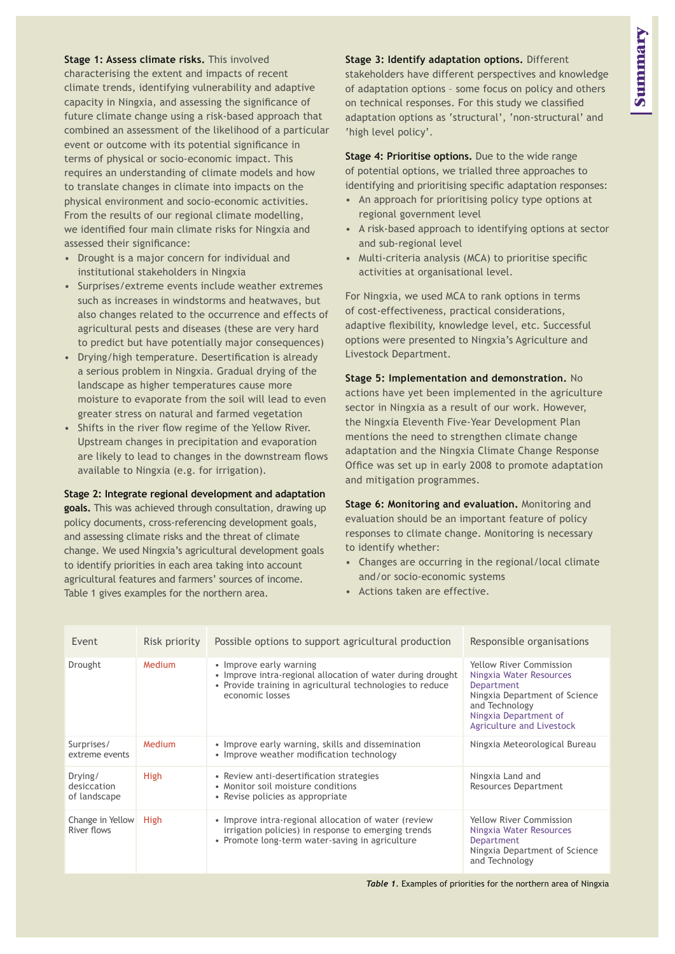**Stage 1: Assess climate risks.** This involved characterising the extent and impacts of recent climate trends, identifying vulnerability and adaptive capacity in Ningxia, and assessing the significance of future climate change using a risk-based approach that combined an assessment of the likelihood of a particular event or outcome with its potential significance in terms of physical or socio-economic impact. This requires an understanding of climate models and how to translate changes in climate into impacts on the physical environment and socio-economic activities. From the results of our regional climate modelling, we identified four main climate risks for Ningxia and assessed their significance:

- Drought is a major concern for individual and institutional stakeholders in Ningxia
- Surprises/extreme events include weather extremes such as increases in windstorms and heatwaves, but also changes related to the occurrence and effects of agricultural pests and diseases (these are very hard to predict but have potentially major consequences)
- Drying/high temperature. Desertification is already a serious problem in Ningxia. Gradual drying of the landscape as higher temperatures cause more moisture to evaporate from the soil will lead to even greater stress on natural and farmed vegetation
- Shifts in the river flow regime of the Yellow River. Upstream changes in precipitation and evaporation are likely to lead to changes in the downstream flows available to Ningxia (e.g. for irrigation).

#### **Stage 2: Integrate regional development and adaptation**

**goals.** This was achieved through consultation, drawing up policy documents, cross-referencing development goals, and assessing climate risks and the threat of climate change. We used Ningxia's agricultural development goals to identify priorities in each area taking into account agricultural features and farmers' sources of income. Table 1 gives examples for the northern area.

## **Stage 3: Identify adaptation options.** Different

stakeholders have different perspectives and knowledge of adaptation options – some focus on policy and others on technical responses. For this study we classified adaptation options as 'structural', 'non-structural' and 'high level policy'.

**Stage 4: Prioritise options.** Due to the wide range of potential options, we trialled three approaches to identifying and prioritising specific adaptation responses:

- An approach for prioritising policy type options at regional government level
- A risk-based approach to identifying options at sector and sub-regional level
- Multi-criteria analysis (MCA) to prioritise specific activities at organisational level.

For Ningxia, we used MCA to rank options in terms of cost-effectiveness, practical considerations, adaptive flexibility, knowledge level, etc. Successful options were presented to Ningxia's Agriculture and Livestock Department.

**Stage 5: Implementation and demonstration.** No actions have yet been implemented in the agriculture sector in Ningxia as a result of our work. However, the Ningxia Eleventh Five-Year Development Plan mentions the need to strengthen climate change adaptation and the Ningxia Climate Change Response Office was set up in early 2008 to promote adaptation and mitigation programmes.

**Stage 6: Monitoring and evaluation.** Monitoring and evaluation should be an important feature of policy responses to climate change. Monitoring is necessary to identify whether:

- Changes are occurring in the regional/local climate and/or socio-economic systems
- Actions taken are effective.

| Event                                  | Risk priority | Possible options to support agricultural production                                                                                                                    | Responsible organisations                                                                                                                                                        |
|----------------------------------------|---------------|------------------------------------------------------------------------------------------------------------------------------------------------------------------------|----------------------------------------------------------------------------------------------------------------------------------------------------------------------------------|
| Drought                                | Medium        | • Improve early warning<br>• Improve intra-regional allocation of water during drought<br>• Provide training in agricultural technologies to reduce<br>economic losses | <b>Yellow River Commission</b><br>Ningxia Water Resources<br>Department<br>Ningxia Department of Science<br>and Technology<br>Ningxia Department of<br>Agriculture and Livestock |
| Surprises/<br>extreme events           | Medium        | • Improve early warning, skills and dissemination<br>• Improve weather modification technology                                                                         | Ningxia Meteorological Bureau                                                                                                                                                    |
| Drying/<br>desiccation<br>of landscape | High          | • Review anti-desertification strategies<br>• Monitor soil moisture conditions<br>• Revise policies as appropriate                                                     | Ningxia Land and<br><b>Resources Department</b>                                                                                                                                  |
| Change in Yellow<br>River flows        | <b>High</b>   | • Improve intra-regional allocation of water (review<br>irrigation policies) in response to emerging trends<br>• Promote long-term water-saving in agriculture         | <b>Yellow River Commission</b><br>Ningxia Water Resources<br>Department<br>Ningxia Department of Science<br>and Technology                                                       |

*Table 1.* Examples of priorities for the northern area of Ningxia